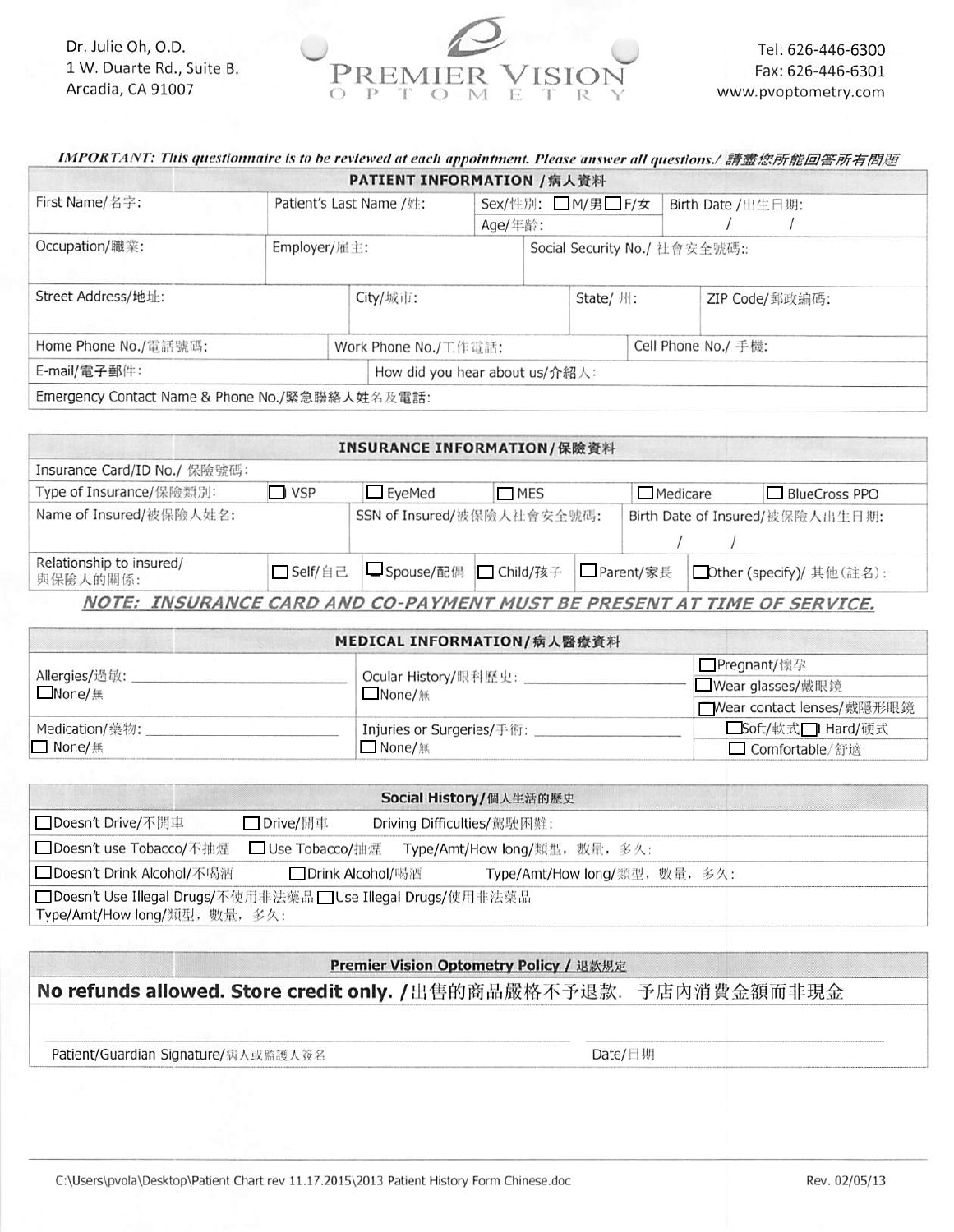Dr. Julie Oh, O.D. 1 W. Duarte Rd., Suite B. Arcadia, CA 91007



| IMPORTANT: This questionnaire is to be reviewed at each appointment. Please answer all questions./ 請盡您所能回答所有問題 |                                                |                                    |  |                  |                     |                   |  |
|----------------------------------------------------------------------------------------------------------------|------------------------------------------------|------------------------------------|--|------------------|---------------------|-------------------|--|
|                                                                                                                |                                                | <b>PATIENT INFORMATION /病人資料</b>   |  |                  |                     |                   |  |
| First Name/名字:                                                                                                 |                                                | Patient's Last Name /姓:<br>Age/年龄: |  | Sex/性別: ■M/男■F/女 |                     | Birth Date /出生日期: |  |
|                                                                                                                |                                                |                                    |  |                  |                     |                   |  |
| Occupation/職業:                                                                                                 | Employer/ 雇主:<br>Social Security No./ 社會安全號碼:: |                                    |  |                  |                     |                   |  |
| Street Address/地址:                                                                                             |                                                | City/城市:                           |  | State/ 州:        |                     | ZIP Code/郵政編碼:    |  |
| Home Phone No./電話號碼:                                                                                           |                                                | Work Phone No./工作電話:               |  |                  | Cell Phone No./ 手機: |                   |  |
| E-mail/電子郵件:                                                                                                   |                                                | How did you hear about us/介紹人:     |  |                  |                     |                   |  |

Emergency Contact Name & Phone No./緊急聯絡人姓名及電話:

|                                      |            | INSURANCE INFORMATION/保險資料 |            |  |                 |                                 |
|--------------------------------------|------------|----------------------------|------------|--|-----------------|---------------------------------|
| Insurance Card/ID No./ 保險號碼:         |            |                            |            |  |                 |                                 |
| Type of Insurance/保險類別:              | $\Box$ VSP | $\square$ EyeMed           | MES        |  | $\Box$ Medicare | BlueCross PPO                   |
| Name of Insured/被保險人姓名:              |            | SSN of Insured/被保險人社會安全號碼: |            |  |                 | Birth Date of Insured/被保險人出生日期: |
| Relationship to insured/<br>與保險人的關係: | □Self/自己   | <b>□</b> Spouse/配偶         | □ Child/孩子 |  | □ Parent/家長     | □ Other (specify)/ 其他(註名):      |

|                                | MEDICAL INFORMATION/病人醫療資料      |                             |  |
|--------------------------------|---------------------------------|-----------------------------|--|
|                                |                                 | □Pregnant/懷孕                |  |
| Allergies/過敏:<br>$\Box$ None/無 | Ocular History/眼科歷史:<br>■None/無 | <b>■ Wear glasses/戴眼鏡</b>   |  |
|                                |                                 | ■ Wear contact lenses/戴隱形眼鏡 |  |
| Medication/藥物:                 | Injuries or Surgeries/手術:       | ■Soft/軟式■ Hard/硬式           |  |
| $\Box$ None/無                  | $\Box$ None/ $\#$               | □ Comfortable/舒適            |  |

|                                                                                                 | Social History/個人生活的歷史 |  |                               |
|-------------------------------------------------------------------------------------------------|------------------------|--|-------------------------------|
| □ Doesn't Drive/不開車                                                                             | □ Drive/開車             |  | Driving Difficulties/駕駛困難:    |
| □ Doesn't use Tobacco/不抽煙                                                                       | □ Use Tobacco/抽煙       |  | Type/Amt/How long/類型, 數量, 多久: |
| □ Doesn't Drink Alcohol/不喝酒                                                                     | □ Drink Alcohol/喝酒     |  | Type/Amt/How long/類型, 數量, 多久: |
| □ Doesn't Use Illegal Drugs/不使用非法藥品 □ Use Illegal Drugs/使用非法藥品<br>Type/Amt/How long/類型, 數量, 多久: |                        |  |                               |

## Premier Vision Optometry Policy / 退款規定

# No refunds allowed. Store credit only. / 出售的商品嚴格不予退款. 予店內消費金額而非現金

Patient/Guardian Signature/病人或監護人簽名

Date/日期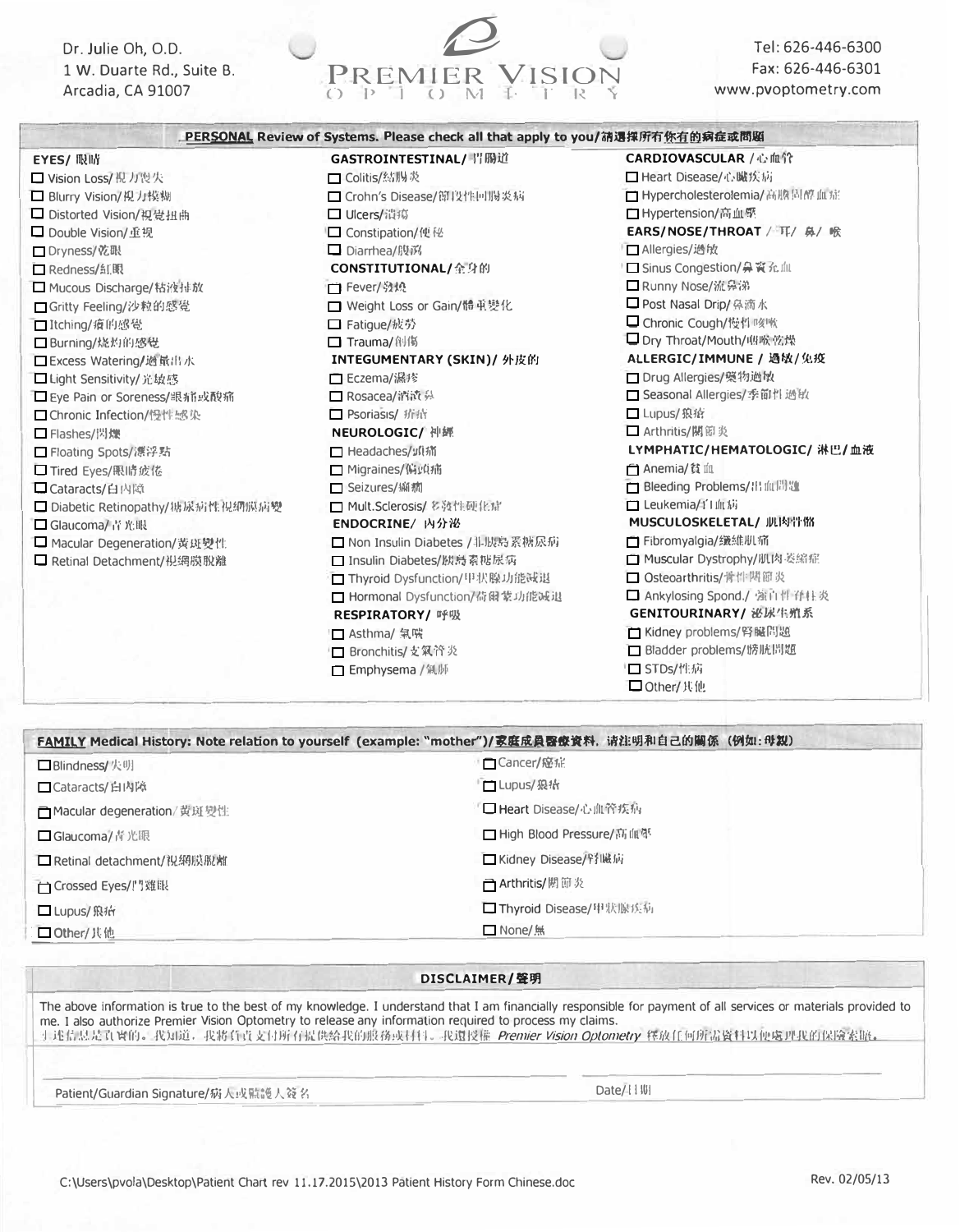Dr. Julie Oh, O.D. 1 W. Duarte Rd., Suite B. Arcadia, CA 91007



Tel: 626-446-6300 Fax: 626-446-6301 www.pvoptometry.com

|                                  | . PERSONAL Review of Systems. Please check all that apply to you/ <b>肺遇</b> 揮所有 <u>你有的</u> 病症或問題 |                                |
|----------------------------------|--------------------------------------------------------------------------------------------------|--------------------------------|
| EYES/ 眼睛                         | GASTROINTESTINAL/ 胃腸道                                                                            | <b>CARDIOVASCULAR /心血管</b>     |
| □ Vision Loss/ 倪 力喪失             | □ Colitis/結腸炎                                                                                    | □ Heart Disease/心臟疾病           |
| □ Blurry Vision/ 規力模糊            | □ Crohn's Disease/節段性回腸炎病                                                                        | □ Hypercholesterolemia/ 高膽固醇血症 |
| □ Distorted Vision/ 視覺扭曲         | □ Ulcers/潰瘍                                                                                      | □ Hypertension/高血壓             |
| □ Double Vision/重视               | □ Constipation/便秘                                                                                | EARS/NOSE/THROAT / 耳/ 鼻/ 喉     |
| □ Dryness/ 乾眼                    | □ Diarrhea/腹深                                                                                    | □ Allergies/過敏                 |
| □ Redness/紅眼                     | CONSTITUTIONAL/金身的                                                                               | □ Sinus Congestion/ 鼻竇允血       |
| □ Mucous Discharge/粘液排放          | □ Fever/發燒                                                                                       | □ Runny Nose/流鼻涕               |
| □Gritty Feeling/沙粒的感覺            | □ Weight Loss or Gain/體重變化                                                                       | □ Post Nasal Drip/ 鼻滴水         |
| □Itching/瘴的感覺                    | □ Fatigue/疲劳                                                                                     | □ Chronic Cough/慢性咳嗽           |
| □ Burning/烧灼的感覺                  | □ Trauma/ 創傷                                                                                     | □ Dry Throat/Mouth/咽喉乾燥        |
| □ Excess Watering/過量出水           | INTEGUMENTARY (SKIN)/ 外皮的                                                                        | ALLERGIC/IMMUNE / 過敏/免疫        |
| □ Light Sensitivity/ 光敏感         | □ Eczema/濕疹                                                                                      | □ Drug Allergies/ 蜒物過敏         |
| □ Eye Pain or Soreness/眼痛或酸痛     | □ Rosacea/ 溶液 鼻                                                                                  | □ Seasonal Allergies/季節性過敏     |
| □ Chronic Infection/慢性感染         | □ Psoriasis/ 疥疮                                                                                  | □ Lupus/ 狼瘡                    |
| □ Flashes/閃爍                     | <b>NEUROLOGIC/ 神經</b>                                                                            | □ Arthritis/関節炎                |
| □ Floating Spots/漂浮點             | □ Headaches/                                                                                     | LYMPHATIC/HEMATOLOGIC/ 淋巴/血液   |
| □ Tired Eyes/ 服务                 | □ Migraines/偏頭痛                                                                                  | □ Anemia/貧血                    |
| □ Cataracts/白内障                  | □ Seizures/                                                                                      | □ Bleeding Problems/ 出血問題      |
| □ Diabetic Retinopathy/糖尿病性視網膜病變 | □ Mult.Sclerosis/多效性硬化症                                                                          | □ Leukemia/l' 山 / 応            |
| □ Glaucoma/青光眼                   | ENDOCRINE/ 内分泌                                                                                   | MUSCULOSKELETAL/ 肌肉骨骼          |
| □ Macular Degeneration/黃斑變性      | □ Non Insulin Diabetes / 非胰島素糖尿病                                                                 | □ Fibromyalgia/鐵維肌痛            |
| □ Retinal Detachment/視網膜脫離       | □ Insulin Diabetes/胰島素糖尿病                                                                        | □ Muscular Dystrophy/肌肉萎縮症     |
|                                  | □ Thyroid Dysfunction/甲状腺功能减退                                                                    | □ Osteoarthritis/骨件關節炎         |
|                                  | □ Hormonal Dysfunction/荷爾蒙功能减退                                                                   | □ Ankylosing Spond./ 強直性脊柱炎    |
|                                  | <b>RESPIRATORY/ 呼吸</b>                                                                           | GENITOURINARY/ 泌尿生殖系           |
|                                  | □ Asthma/ 氣喘                                                                                     | □ Kidney problems/腎臓問題         |
|                                  | □ Bronchitis/支氧管炎                                                                                | □ Bladder problems/膀胱問題        |
|                                  | □ Emphysema / 氣肺                                                                                 | □ STDs/性病                      |
|                                  |                                                                                                  | □ Other/ 其他                    |

| □Blindness/ 火明              | □Cancer/ 感症               |
|-----------------------------|---------------------------|
| □ Cataracts/白内障             | □Lupus/狼状                 |
| □ Macular degeneration/黄斑變性 | □ Heart Disease/心血管疾病     |
| □ Glaucoma/青光眼              | □ High Blood Pressure/高血學 |
| □ Retinal detachment/ 祝網膜脫離 | □ Kidney Disease/腎臓病      |
| □ Crossed Eyes/!'' 雞眼       | □ Arthritis/閲節炎           |
| □ Lupus/ 飛行                 | □ Thyroid Disease/甲狀腺疾病   |
| □ Other/其他                  | $\Box$ None/ $\#$         |

## DISCLAIMER/聲明

The above information is true to the best of my knowledge. I understand that I am financially responsible for payment of all services or materials provided to me. I also authorize Premier Vision Optometry to release any information required to process my claims. 于述信息是真實的。我知道,我將負責支付所有提供給我的照務或材料。我選授權 Premier Vision Optometry 釋放任何所需資料以便處理我的保險索賠。

Patient/Guardian Signature/树人或融護人簽名

Date/11W